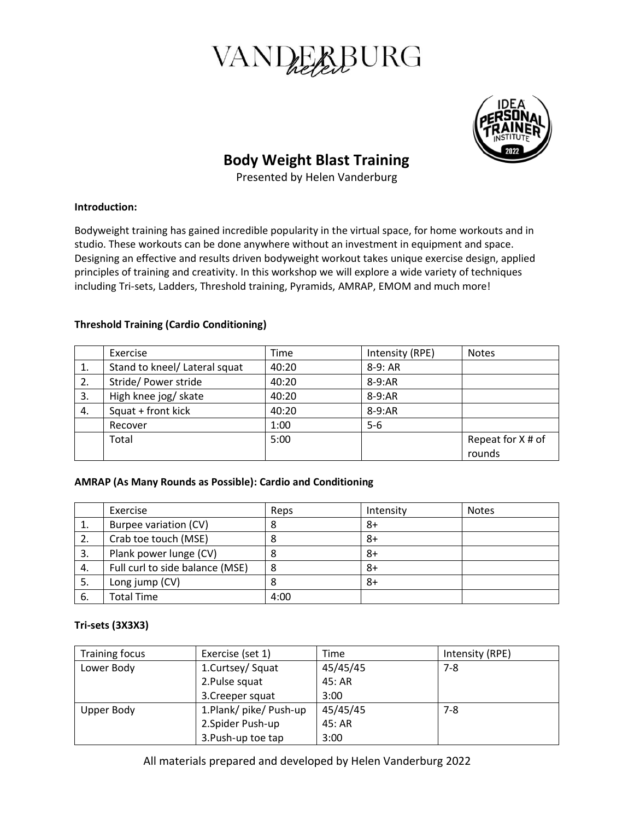



# **Body Weight Blast Training**

Presented by Helen Vanderburg

#### **Introduction:**

Bodyweight training has gained incredible popularity in the virtual space, for home workouts and in studio. These workouts can be done anywhere without an investment in equipment and space. Designing an effective and results driven bodyweight workout takes unique exercise design, applied principles of training and creativity. In this workshop we will explore a wide variety of techniques including Tri-sets, Ladders, Threshold training, Pyramids, AMRAP, EMOM and much more!

## **Threshold Training (Cardio Conditioning)**

|    | Exercise                      | Time  | Intensity (RPE) | <b>Notes</b>      |
|----|-------------------------------|-------|-----------------|-------------------|
| 1. | Stand to kneel/ Lateral squat | 40:20 | $8-9:AR$        |                   |
| 2. | Stride/ Power stride          | 40:20 | 8-9:AR          |                   |
| 3. | High knee jog/ skate          | 40:20 | 8-9:AR          |                   |
| 4. | Squat + front kick            | 40:20 | 8-9:AR          |                   |
|    | Recover                       | 1:00  | $5-6$           |                   |
|    | Total                         | 5:00  |                 | Repeat for X # of |
|    |                               |       |                 | rounds            |

#### **AMRAP (As Many Rounds as Possible): Cardio and Conditioning**

|    | Exercise                        | Reps | Intensity | <b>Notes</b> |
|----|---------------------------------|------|-----------|--------------|
| ᅩ. | Burpee variation (CV)           | 8    | 8+        |              |
| 2. | Crab toe touch (MSE)            |      | 8+        |              |
| 3. | Plank power lunge (CV)          |      | 8+        |              |
| 4. | Full curl to side balance (MSE) | 8    | 8+        |              |
| 5. | Long jump (CV)                  |      | 8+        |              |
| 6. | <b>Total Time</b>               | 4:00 |           |              |

## **Tri-sets (3X3X3)**

| Training focus | Exercise (set 1)     | Time     | Intensity (RPE) |
|----------------|----------------------|----------|-----------------|
| Lower Body     | 1.Curtsey/Squat      | 45/45/45 | $7-8$           |
|                | 2. Pulse squat       | 45: AR   |                 |
|                | 3. Creeper squat     | 3:00     |                 |
| Upper Body     | 1.Plank/pike/Push-up | 45/45/45 | $7 - 8$         |
|                | 2.Spider Push-up     | 45: AR   |                 |
|                | 3. Push-up toe tap   | 3:00     |                 |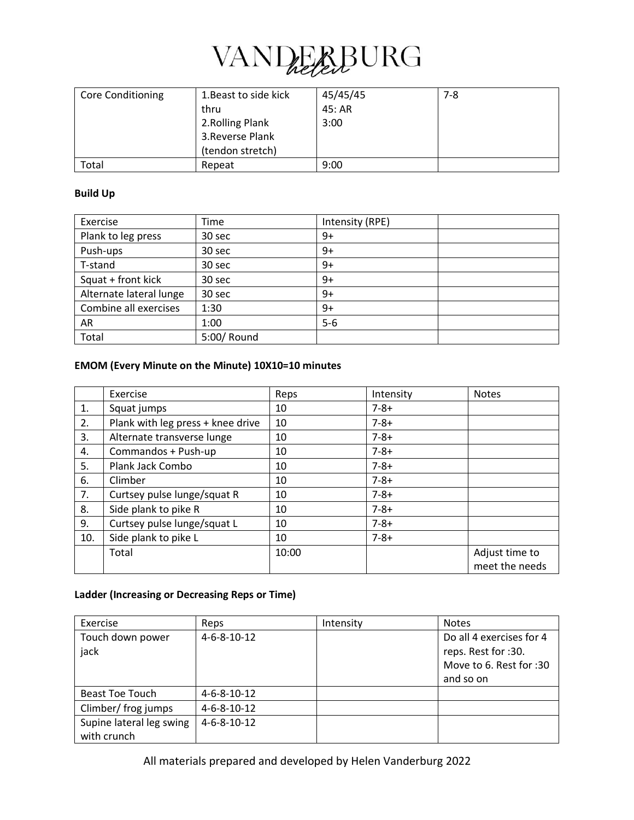

| <b>Core Conditioning</b> | 1. Beast to side kick | 45/45/45 | 7-8 |
|--------------------------|-----------------------|----------|-----|
|                          | thru                  | 45: AR   |     |
|                          | 2. Rolling Plank      | 3:00     |     |
|                          | 3. Reverse Plank      |          |     |
|                          | (tendon stretch)      |          |     |
| Total                    | Repeat                | 9:00     |     |

#### **Build Up**

| Exercise                | Time        | Intensity (RPE) |  |
|-------------------------|-------------|-----------------|--|
| Plank to leg press      | 30 sec      | $9+$            |  |
| Push-ups                | 30 sec      | $9+$            |  |
| T-stand                 | 30 sec      | $9+$            |  |
| Squat + front kick      | 30 sec      | $9+$            |  |
| Alternate lateral lunge | 30 sec      | $9+$            |  |
| Combine all exercises   | 1:30        | $9+$            |  |
| AR                      | 1:00        | $5-6$           |  |
| Total                   | 5:00/ Round |                 |  |

## **EMOM (Every Minute on the Minute) 10X10=10 minutes**

|     | Exercise                          | Reps  | Intensity | <b>Notes</b>                     |
|-----|-----------------------------------|-------|-----------|----------------------------------|
| 1.  | Squat jumps                       | 10    | $7 - 8 +$ |                                  |
| 2.  | Plank with leg press + knee drive | 10    | $7 - 8 +$ |                                  |
| 3.  | Alternate transverse lunge        | 10    | $7 - 8 +$ |                                  |
| 4.  | Commandos + Push-up               | 10    | $7 - 8 +$ |                                  |
| 5.  | Plank Jack Combo                  | 10    | $7 - 8 +$ |                                  |
| 6.  | Climber                           | 10    | $7 - 8 +$ |                                  |
| 7.  | Curtsey pulse lunge/squat R       | 10    | $7 - 8 +$ |                                  |
| 8.  | Side plank to pike R              | 10    | $7 - 8 +$ |                                  |
| 9.  | Curtsey pulse lunge/squat L       | 10    | $7 - 8 +$ |                                  |
| 10. | Side plank to pike L              | 10    | $7 - 8 +$ |                                  |
|     | Total                             | 10:00 |           | Adjust time to<br>meet the needs |

# **Ladder (Increasing or Decreasing Reps or Time)**

| Exercise                 | Reps                  | Intensity | <b>Notes</b>             |
|--------------------------|-----------------------|-----------|--------------------------|
| Touch down power         | $4 - 6 - 8 - 10 - 12$ |           | Do all 4 exercises for 4 |
| jack                     |                       |           | reps. Rest for :30.      |
|                          |                       |           | Move to 6. Rest for :30  |
|                          |                       |           | and so on                |
| Beast Toe Touch          | $4 - 6 - 8 - 10 - 12$ |           |                          |
| Climber/ frog jumps      | $4 - 6 - 8 - 10 - 12$ |           |                          |
| Supine lateral leg swing | $4 - 6 - 8 - 10 - 12$ |           |                          |
| with crunch              |                       |           |                          |